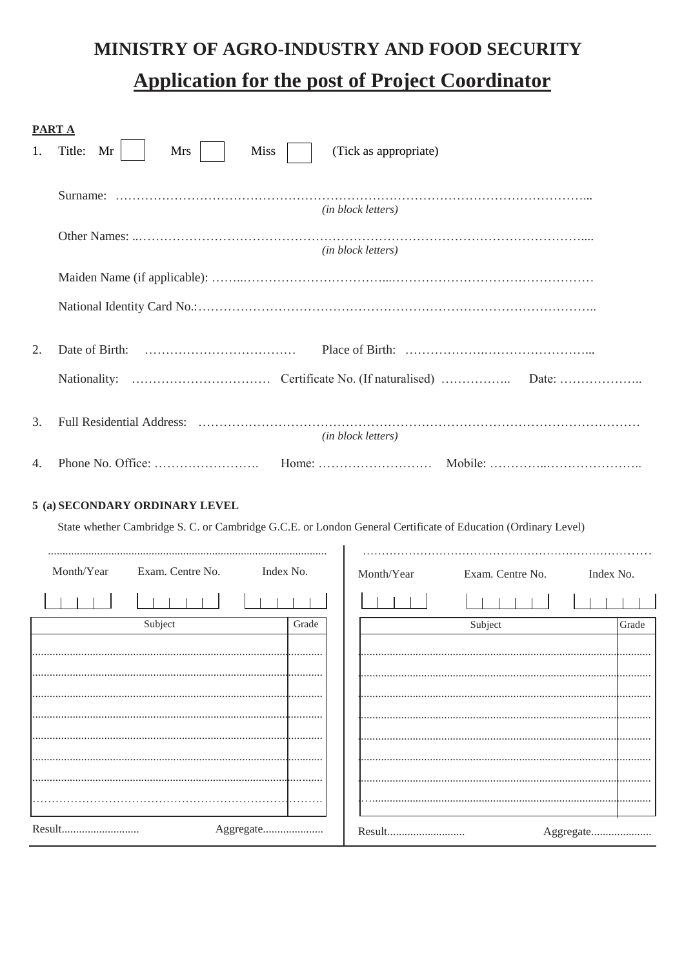# MINISTRY OF AGRO-INDUSTRY AND FOOD SECURITY **Application for the post of Project Coordinator**

| <b>PART A</b> |                                                                                                               |  |
|---------------|---------------------------------------------------------------------------------------------------------------|--|
| 1.            | Title:<br>Mr<br><b>Miss</b><br>(Tick as appropriate)<br>Mrs                                                   |  |
|               |                                                                                                               |  |
|               | (in block letters)                                                                                            |  |
|               |                                                                                                               |  |
|               | (in block letters)                                                                                            |  |
|               |                                                                                                               |  |
|               |                                                                                                               |  |
| 2.            |                                                                                                               |  |
|               |                                                                                                               |  |
|               |                                                                                                               |  |
| 3.            |                                                                                                               |  |
|               | (in block letters)                                                                                            |  |
| 4.            |                                                                                                               |  |
|               | 5 (a) SECONDARY ORDINARY LEVEL                                                                                |  |
|               | State whether Cambridge S. C. or Cambridge G.C.E. or London General Certificate of Education (Ordinary Level) |  |
|               |                                                                                                               |  |
|               | Month/Year<br>Exam. Centre No.<br>Index No.<br>Month/Year<br>Exam. Centre No.<br>Index No.                    |  |
|               |                                                                                                               |  |
|               | Subject<br>Grade<br>Subject<br>Grade                                                                          |  |
|               |                                                                                                               |  |
|               |                                                                                                               |  |
|               |                                                                                                               |  |
|               |                                                                                                               |  |
|               |                                                                                                               |  |
|               |                                                                                                               |  |
|               | Result<br>Aggregate                                                                                           |  |
|               | Result<br>Aggregate                                                                                           |  |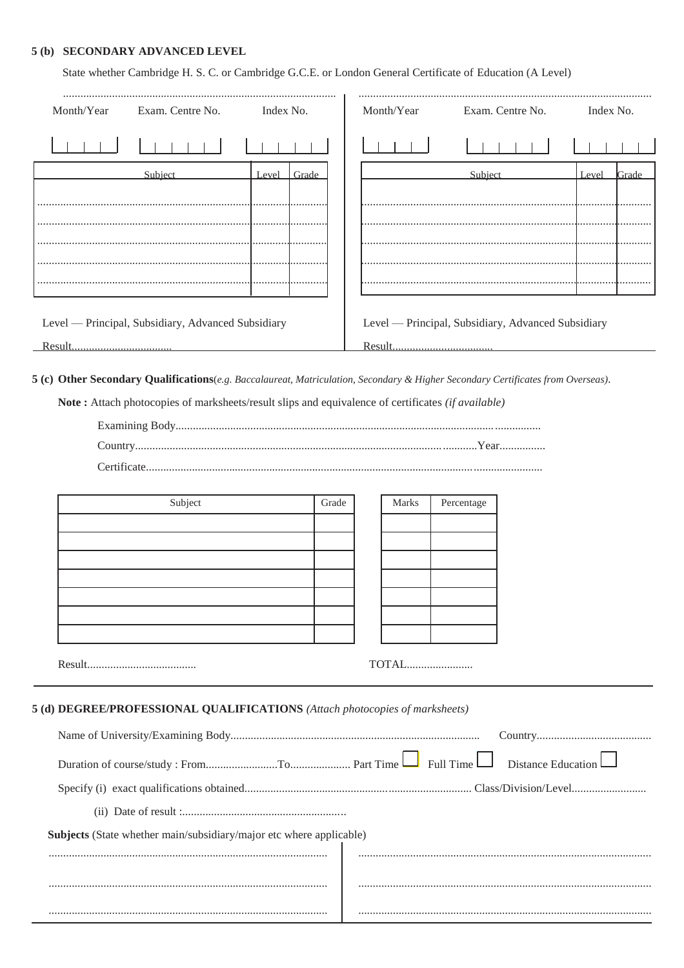#### 5 (b) SECONDARY ADVANCED LEVEL

| State whether Cambridge H. S. C. or Cambridge G.C.E. or London General Certificate of Education (A Level) |                                                    |           |       |  |            |                                                    |           |       |
|-----------------------------------------------------------------------------------------------------------|----------------------------------------------------|-----------|-------|--|------------|----------------------------------------------------|-----------|-------|
| Month/Year                                                                                                | Exam. Centre No.                                   | Index No. |       |  | Month/Year | Exam. Centre No.                                   | Index No. |       |
|                                                                                                           |                                                    |           |       |  |            |                                                    |           |       |
|                                                                                                           | Subject                                            | Level     | Grade |  |            | Subject                                            | Level     | Grade |
|                                                                                                           |                                                    |           |       |  |            |                                                    |           |       |
|                                                                                                           |                                                    |           |       |  |            |                                                    |           |       |
|                                                                                                           |                                                    |           |       |  |            |                                                    |           |       |
|                                                                                                           |                                                    |           |       |  |            |                                                    |           |       |
|                                                                                                           |                                                    |           |       |  |            |                                                    |           |       |
|                                                                                                           |                                                    |           |       |  |            |                                                    |           |       |
|                                                                                                           | Level — Principal, Subsidiary, Advanced Subsidiary |           |       |  |            | Level — Principal, Subsidiary, Advanced Subsidiary |           |       |
| Result                                                                                                    |                                                    |           |       |  |            |                                                    |           |       |

5 (c) Other Secondary Qualifications(e.g. Baccalaureat, Matriculation, Secondary & Higher Secondary Certificates from Overseas).

Note: Attach photocopies of marksheets/result slips and equivalence of certificates (if available)

| Subject | Grade | Marks | Percentage |
|---------|-------|-------|------------|
|         |       |       |            |
|         |       |       |            |
|         |       |       |            |
|         |       |       |            |
|         |       |       |            |
|         |       |       |            |
|         |       |       |            |
|         |       |       |            |

5 (d) DEGREE/PROFESSIONAL QUALIFICATIONS (Attach photocopies of marksheets)

| Subjects (State whether main/subsidiary/major etc where applicable) |  |
|---------------------------------------------------------------------|--|
|                                                                     |  |
|                                                                     |  |
|                                                                     |  |
|                                                                     |  |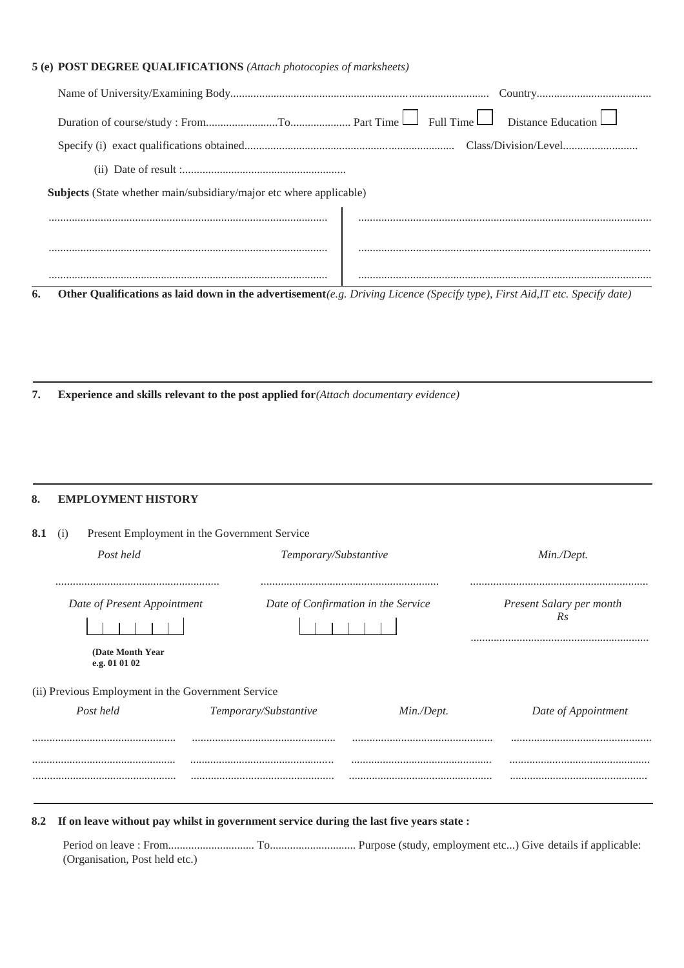### **5 (e) POST DEGREE QUALIFICATIONS** *(Attach photocopies of marksheets)*

| <b>Subjects</b> (State whether main/subsidiary/major etc where applicable) |                                                                                                                              |
|----------------------------------------------------------------------------|------------------------------------------------------------------------------------------------------------------------------|
|                                                                            |                                                                                                                              |
|                                                                            |                                                                                                                              |
|                                                                            |                                                                                                                              |
|                                                                            |                                                                                                                              |
| 6.                                                                         | Other Qualifications as laid down in the advertisement(e.g. Driving Licence (Specify type), First Aid, IT etc. Specify date) |

**7. Experience and skills relevant to the post applied for***(Attach documentary evidence)*

#### **8. EMPLOYMENT HISTORY**

| 8.1<br>(1) |                                                    | Present Employment in the Government Service |                                     |                                |
|------------|----------------------------------------------------|----------------------------------------------|-------------------------------------|--------------------------------|
|            | Post held                                          | Temporary/Substantive                        |                                     | Min./Dept.                     |
|            | Date of Present Appointment                        |                                              | Date of Confirmation in the Service | Present Salary per month<br>Rs |
|            | (Date Month Year)<br>e.g. 01 01 02                 |                                              |                                     |                                |
|            | (ii) Previous Employment in the Government Service |                                              |                                     |                                |
|            | Post held                                          | Temporary/Substantive                        | Min./Dept.                          | Date of Appointment            |
|            |                                                    |                                              |                                     |                                |
|            |                                                    |                                              |                                     |                                |
|            |                                                    |                                              |                                     |                                |

**8.2 If on leave without pay whilst in government service during the last five years state :**

Period on leave : From.............................. To.............................. Purpose (study, employment etc...) Give details if applicable: (Organisation, Post held etc.)